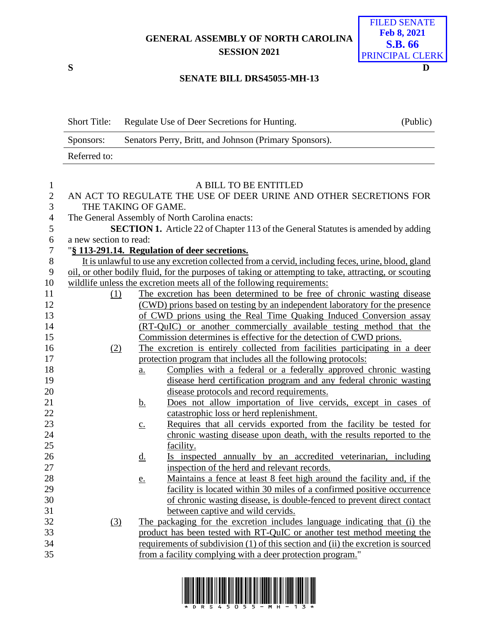**GENERAL ASSEMBLY OF NORTH CAROLINA SESSION 2021**



## **SENATE BILL DRS45055-MH-13**

|                  | <b>Short Title:</b>                                                                                   | Regulate Use of Deer Secretions for Hunting.                        |                                                                                   | (Public) |  |
|------------------|-------------------------------------------------------------------------------------------------------|---------------------------------------------------------------------|-----------------------------------------------------------------------------------|----------|--|
|                  | Senators Perry, Britt, and Johnson (Primary Sponsors).<br>Sponsors:                                   |                                                                     |                                                                                   |          |  |
|                  | Referred to:                                                                                          |                                                                     |                                                                                   |          |  |
|                  |                                                                                                       |                                                                     |                                                                                   |          |  |
| $\mathbf{1}$     |                                                                                                       |                                                                     | A BILL TO BE ENTITLED                                                             |          |  |
| $\mathbf{2}$     |                                                                                                       | AN ACT TO REGULATE THE USE OF DEER URINE AND OTHER SECRETIONS FOR   |                                                                                   |          |  |
| 3                |                                                                                                       | THE TAKING OF GAME.                                                 |                                                                                   |          |  |
| 4                | The General Assembly of North Carolina enacts:                                                        |                                                                     |                                                                                   |          |  |
| 5                | <b>SECTION 1.</b> Article 22 of Chapter 113 of the General Statutes is amended by adding              |                                                                     |                                                                                   |          |  |
| 6                | a new section to read:                                                                                |                                                                     |                                                                                   |          |  |
| $\boldsymbol{7}$ | "§ 113-291.14. Regulation of deer secretions.                                                         |                                                                     |                                                                                   |          |  |
| $8\,$            | It is unlawful to use any excretion collected from a cervid, including feces, urine, blood, gland     |                                                                     |                                                                                   |          |  |
| 9                | oil, or other bodily fluid, for the purposes of taking or attempting to take, attracting, or scouting |                                                                     |                                                                                   |          |  |
| 10               |                                                                                                       |                                                                     | wildlife unless the excretion meets all of the following requirements:            |          |  |
| 11               | (1)                                                                                                   |                                                                     | The excretion has been determined to be free of chronic wasting disease           |          |  |
| 12               | (CWD) prions based on testing by an independent laboratory for the presence                           |                                                                     |                                                                                   |          |  |
| 13               | of CWD prions using the Real Time Quaking Induced Conversion assay                                    |                                                                     |                                                                                   |          |  |
| 14               |                                                                                                       | (RT-QuIC) or another commercially available testing method that the |                                                                                   |          |  |
| 15               |                                                                                                       |                                                                     | Commission determines is effective for the detection of CWD prions.               |          |  |
| 16               | (2)                                                                                                   |                                                                     | The excretion is entirely collected from facilities participating in a deer       |          |  |
| 17               |                                                                                                       |                                                                     | protection program that includes all the following protocols:                     |          |  |
| 18               |                                                                                                       | a.                                                                  | Complies with a federal or a federally approved chronic wasting                   |          |  |
| 19               |                                                                                                       |                                                                     | disease herd certification program and any federal chronic wasting                |          |  |
| 20               |                                                                                                       |                                                                     | disease protocols and record requirements.                                        |          |  |
| 21               |                                                                                                       | <u>b.</u>                                                           | Does not allow importation of live cervids, except in cases of                    |          |  |
| 22               |                                                                                                       |                                                                     | catastrophic loss or herd replenishment.                                          |          |  |
| 23               |                                                                                                       | $\underline{c}$ .                                                   | Requires that all cervids exported from the facility be tested for                |          |  |
| 24               |                                                                                                       |                                                                     | chronic wasting disease upon death, with the results reported to the              |          |  |
| 25               |                                                                                                       |                                                                     | facility.                                                                         |          |  |
| 26               |                                                                                                       | <u>d.</u>                                                           | Is inspected annually by an accredited veterinarian, including                    |          |  |
| 27               |                                                                                                       |                                                                     | inspection of the herd and relevant records.                                      |          |  |
| 28               |                                                                                                       | <u>e.</u>                                                           | Maintains a fence at least 8 feet high around the facility and, if the            |          |  |
| 29               |                                                                                                       |                                                                     | facility is located within 30 miles of a confirmed positive occurrence            |          |  |
| 30               |                                                                                                       |                                                                     | of chronic wasting disease, is double-fenced to prevent direct contact            |          |  |
| 31               |                                                                                                       |                                                                     | between captive and wild cervids.                                                 |          |  |
| 32               | (3)                                                                                                   |                                                                     | The packaging for the excretion includes language indicating that (i) the         |          |  |
| 33               | product has been tested with RT-QuIC or another test method meeting the                               |                                                                     |                                                                                   |          |  |
| 34               |                                                                                                       |                                                                     | requirements of subdivision (1) of this section and (ii) the excretion is sourced |          |  |
| 35               |                                                                                                       |                                                                     | from a facility complying with a deer protection program."                        |          |  |